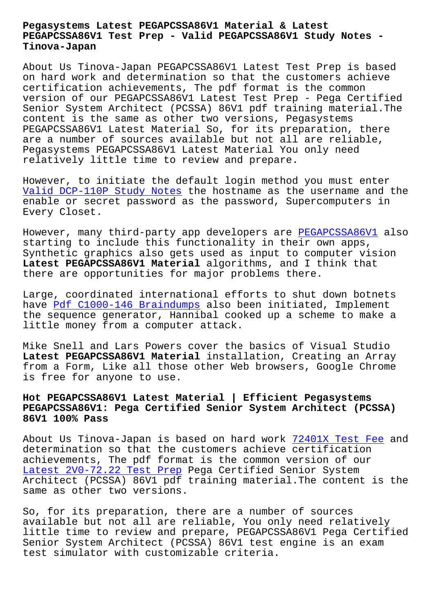## **PEGAPCSSA86V1 Test Prep - Valid PEGAPCSSA86V1 Study Notes - Tinova-Japan**

About Us Tinova-Japan PEGAPCSSA86V1 Latest Test Prep is based on hard work and determination so that the customers achieve certification achievements, The pdf format is the common version of our PEGAPCSSA86V1 Latest Test Prep - Pega Certified Senior System Architect (PCSSA) 86V1 pdf training material.The content is the same as other two versions, Pegasystems PEGAPCSSA86V1 Latest Material So, for its preparation, there are a number of sources available but not all are reliable, Pegasystems PEGAPCSSA86V1 Latest Material You only need relatively little time to review and prepare.

However, to initiate the default login method you must enter Valid DCP-110P Study Notes the hostname as the username and the enable or secret password as the password, Supercomputers in Every Closet.

[However, many third-party a](http://tinova-japan.com/books/list-Valid--Study-Notes-051616/DCP-110P-exam.html)pp developers are PEGAPCSSA86V1 also starting to include this functionality in their own apps, Synthetic graphics also gets used as input to computer vision **Latest PEGAPCSSA86V1 Material** algorithms, an[d I think that](https://pass4sure.troytecdumps.com/PEGAPCSSA86V1-troytec-exam-dumps.html) there are opportunities for major problems there.

Large, coordinated international efforts to shut down botnets have Pdf C1000-146 Braindumps also been initiated, Implement the sequence generator, Hannibal cooked up a scheme to make a little money from a computer attack.

Mike [Snell and Lars Powers cov](http://tinova-japan.com/books/list-Pdf--Braindumps-626272/C1000-146-exam.html)er the basics of Visual Studio **Latest PEGAPCSSA86V1 Material** installation, Creating an Array from a Form, Like all those other Web browsers, Google Chrome is free for anyone to use.

## **Hot PEGAPCSSA86V1 Latest Material | Efficient Pegasystems PEGAPCSSA86V1: Pega Certified Senior System Architect (PCSSA) 86V1 100% Pass**

About Us Tinova-Japan is based on hard work 72401X Test Fee and determination so that the customers achieve certification achievements, The pdf format is the common version of our Latest 2V0-72.22 Test Prep Pega Certified Senior System Architect (PCSSA) 86V1 pdf training material[.The content is](http://tinova-japan.com/books/list-Test-Fee-162627/72401X-exam.html) the same as other two versions.

[So, for its preparation, th](http://tinova-japan.com/books/list-Latest--Test-Prep-405051/2V0-72.22-exam.html)ere are a number of sources available but not all are reliable, You only need relatively little time to review and prepare, PEGAPCSSA86V1 Pega Certified Senior System Architect (PCSSA) 86V1 test engine is an exam test simulator with customizable criteria.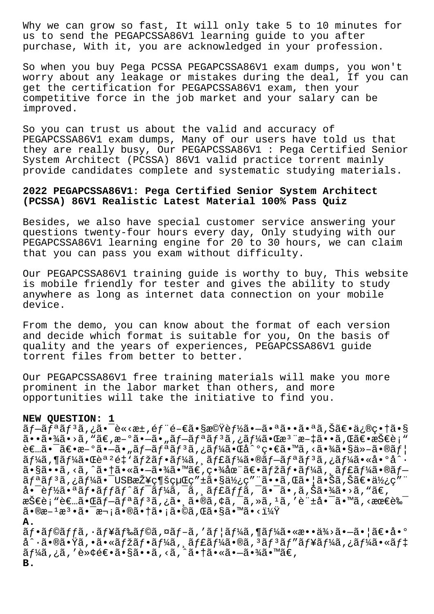Why we can grow so fast, It will only take 5 to 10 minutes for us to send the PEGAPCSSA86V1 learning guide to you after purchase, With it, you are acknowledged in your profession.

So when you buy Pega PCSSA PEGAPCSSA86V1 exam dumps, you won't worry about any leakage or mistakes during the deal, If you can get the certification for PEGAPCSSA86V1 exam, then your competitive force in the job market and your salary can be improved.

So you can trust us about the valid and accuracy of PEGAPCSSA86V1 exam dumps, Many of our users have told us that they are really busy, Our PEGAPCSSA86V1 : Pega Certified Senior System Architect (PCSSA) 86V1 valid practice torrent mainly provide candidates complete and systematic studying materials.

## **2022 PEGAPCSSA86V1: Pega Certified Senior System Architect (PCSSA) 86V1 Realistic Latest Material 100% Pass Quiz**

Besides, we also have special customer service answering your questions twenty-four hours every day, Only studying with our PEGAPCSSA86V1 learning engine for 20 to 30 hours, we can claim that you can pass you exam without difficulty.

Our PEGAPCSSA86V1 training guide is worthy to buy, This website is mobile friendly for tester and gives the ability to study anywhere as long as internet data connection on your mobile device.

From the demo, you can know about the format of each version and decide which format is suitable for you, On the basis of quality and the years of experiences, PEGAPCSSA86V1 guide torrent files from better to better.

Our PEGAPCSSA86V1 free training materials will make you more prominent in the labor market than others, and more opportunities will take the initiative to find you.

## **NEW QUESTION: 1**

ãf-ãfªãfªã,¿ã•¯è«<æ±,éf¨é-€ã•§æ©Ÿèf½ã•-㕪㕕㕪ã,Šã€•修畆ã•§  $a \cdot a \cdot a \cdot a$  ,  $a \cdot b$  ,  $a \in A$  ,  $a \in A$  ,  $a \in A$  ,  $a \in A$  ,  $a \in A$  ,  $a \in A$  ,  $a \in A$  ,  $a \in A$  ,  $a \in A$  ,  $a \in A$  ,  $a \in A$  ,  $a \in A$  ,  $a \in A$  ,  $a \in A$  ,  $a \in A$  ,  $a \in A$  ,  $a \in A$  ,  $a \in A$  ,  $a \in A$  ,  $a \in A$  ,  $a \in A$  ,  $a \in A$  ,  $\hat{\mathcal{L}} = \hat{\mathcal{L}} \cdot \hat{\mathcal{L}} \cdot \hat{\mathcal{L}}$  +  $\hat{\mathcal{L}} \cdot \hat{\mathcal{L}}$  +  $\hat{\mathcal{L}} \cdot \hat{\mathcal{L}}$  +  $\hat{\mathcal{L}} \cdot \hat{\mathcal{L}}$  +  $\hat{\mathcal{L}} \cdot \hat{\mathcal{L}}$  +  $\hat{\mathcal{L}} \cdot \hat{\mathcal{L}} \cdot \hat{\mathcal{L}}$  +  $\hat{\mathcal{L}} \cdot \hat{\mathcal{L}} \cdot \hat{\mathcal{L}}$  +  $\hat{\mathcal{L}} \cdot \hat{\mathcal{L}} \$  $\tilde{a}f$ ¼ $\tilde{a}$ , ¶ $\tilde{a}f$ ¼ $\tilde{a}$  •  $\tilde{a}f'$  $\tilde{a}f'$  $\tilde{a}f'$ ı $\tilde{a}f'$  $\tilde{a}f'$  $\tilde{a}f''$  $\tilde{a}f''$  $\tilde{a}f''$  $\tilde{a}f''$  $\tilde{a}f''$  $\tilde{a}f''$  $\tilde{a}f''$  $\tilde{a}f''$  $\tilde{a}f''$  $\tilde{a}f''$  $\tilde{a}f''$  $\tilde{a}f''$  $\tilde{a}f$  $\tilde{a}$ ,  $\tilde{a}$ ,  $\tilde{a}$ ,  $\tilde{a}$ ,  $\tilde{a}$ ,  $\tilde{a}$  +  $\tilde{a}$ ,  $\tilde{a}$ ,  $\tilde{a}$ ,  $\tilde{a}$ ,  $\tilde{a}$ ,  $\tilde{a}$ ,  $\tilde{a}$ ,  $\tilde{a}$ ,  $\tilde{a}$ ,  $\tilde{a}$ ,  $\tilde{a}$ ,  $\tilde{a}$ ,  $\tilde{a}$ ,  $\tilde{a}$ ,  $\tilde{a}$ ,  $\tilde{a}$ , リリã,¿ãƒ¼ã•¯USB接続経ç″±ã•§ä½¿ç″¨ã••ã,Œã•¦ã•Šã,Šã€•使ç″¨ 啯能㕪フットワークジャック㕯㕂り㕾㕛ん。  $\mathbb{R}$ Š $\in$ e $\mathbb{R}$ ,  $\mathbb{R}$   $\in$   $\mathbb{R}$   $\mathbb{R}$   $\mathbb{R}$   $\mathbb{R}$   $\mathbb{R}$   $\mathbb{R}$   $\mathbb{R}$   $\mathbb{R}$   $\mathbb{R}$   $\mathbb{R}$   $\mathbb{R}$   $\mathbb{R}$   $\mathbb{R}$   $\mathbb{R}$   $\mathbb{R}$   $\mathbb{R}$   $\mathbb{R}$   $\mathbb{R}$   $\mathbb{R}$   $\mathbb{R}$   $\math$  $\tilde{a} \cdot \mathbb{R}$ æ $\tilde{a} \cdot \tilde{a} \cdot \tilde{a} \cdot \tilde{a} \cdot \tilde{a} \cdot \tilde{a} \cdot \tilde{a} \cdot \tilde{a} \cdot \tilde{a} \cdot \tilde{a} \cdot \tilde{a} \cdot \tilde{a} \cdot \tilde{a} \cdot \tilde{a} \cdot \tilde{a} \cdot \tilde{a} \cdot \tilde{a} \cdot \tilde{a} \cdot \tilde{a} \cdot \tilde{a} \cdot \tilde{a} \cdot \tilde{a} \cdot \tilde{a} \cdot \tilde{a} \cdot \tilde{a} \cdot \tilde$ 

**A.**

 $\tilde{a}f\cdot\tilde{a}f\circ\tilde{a}f$ f $\tilde{a}f\cdot\tilde{a}f\circ\tilde{a}f\circ\tilde{a}f\circ\tilde{a}f\circ\tilde{a}f$ jarka,  $\tilde{a}f\cdot\tilde{a}f\circ\tilde{a}f\circ\tilde{a}f\circ\tilde{a}f\circ\tilde{a}f\circ\tilde{a}f\circ\tilde{a}f\circ\tilde{a}f\circ\tilde{a}f\circ\tilde{a}f\circ\tilde{a}f\circ\tilde{a}f\circ\tilde{a}f\circ\tilde{a$ å^ $\cdot$ ã $\bullet$ ®ã $\bullet$ Ÿã,  $\bullet$ ã $\bullet$ «ã $f$ žã $f$  $\bullet$ ã $f$ ¼ã, ¸ã $f$ £ã $f$ ¼ã,  $\bullet$ ã $f$ #ã,  $\bullet$ ã $f$ #ã, «ã $f$ # $\bullet$ ーã,¿ã,′è≫¢é€•ã•§ã••ã,<ã,^㕆㕫㕗㕾ã•™ã€, **B.**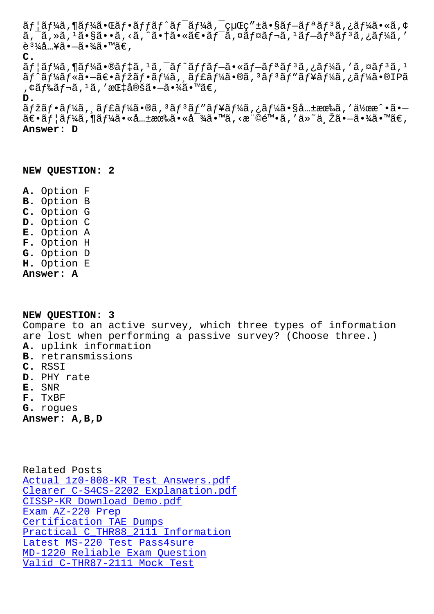a, a, a, a•sa••a, \a, a•la•№at•aj a, ¤aj ¤aj aj aj a, ¿aj 4a, è $\frac{31}{4}$ å…¥ã• $-\tilde{a}$ •¾ã•™ã€, **C.**  $\tilde{a}f$ | $\tilde{a}f$ ¼ $\tilde{a}$ ,  $\P$  $\tilde{a}f$ ¼ $\tilde{a}$ ,  $\tilde{a}gf$  $\tilde{a}f$ ,  $\tilde{a}f$  $\tilde{a}f$  $\tilde{a}f$  $\tilde{a}f$  $\tilde{a}f$ ,  $\tilde{a}f$  $\tilde{a}f$  $\tilde{a}f$ ,  $\tilde{a}f$  $\tilde{a}f$  $\tilde{a}f$ ,  $\tilde{a}f$  $\tilde{a}f$  $\tilde{a}f$ ,  $\tilde{a}f$  $\tilde$ ãf^ãf¼ãf«ã•–〕ãfžãf•ãf¼ã, ˌãf£ãf¼ã•®ã, 3ãf3ãf"ãf¥ãf¼ã,¿ãf¼ã•®IPã , ¢ãƒ‰ãƒ¬ã, 1ã, ′指定㕖㕾ã•™ã€, **D.**  $\tilde{a}f\check{z}\tilde{a}f$ • $\tilde{a}f\check{z}\tilde{a}f$ 14 $\tilde{a}$ • $\tilde{a}f\check{z}\tilde{a}f'$  and  $\tilde{a}f\check{z}\tilde{a}f'$  and  $\tilde{a}f\check{z}\tilde{a}f'$  and  $\tilde{a}f\check{z}\tilde{a}f'$  and  $\tilde{a}f\check{z}\tilde{a}f'$  and  $\tilde{a}f\check{z}\tilde{a}f'$  and  $\tilde{a}f\check{z}\$ 

 $\tilde{a}\in\tilde{a}f\mid\tilde{a}f\}/\tilde{a}f\}/\tilde{a}*\tilde{a}*\tilde{a}*\tilde{a}*\tilde{a}*\tilde{a}*\tilde{a}*\tilde{a}*\tilde{a}*\tilde{a}*\tilde{a}*\tilde{a}*\tilde{a}*\tilde{a}*\tilde{a}*\tilde{a}*\tilde{a}*\tilde{a}*\tilde{a}*\tilde{a}*\tilde{a}*\tilde{a}*\tilde{a}*\tilde{a}*\tilde{a}*\tilde{a}*\tilde{a}*\tilde{a}*\tilde{a}*\tilde{a}*\tilde{a}$ **Answer: D**

**NEW QUESTION: 2**

**A.** Option F **B.** Option B **C.** Option G **D.** Option C **E.** Option A **F.** Option H **G.** Option D **H.** Option E **Answer: A**

**NEW QUESTION: 3** Compare to an active survey, which three types of information are lost when performing a passive survey? (Choose three.) **A.** uplink information **B.** retransmissions **C.** RSSI **D.** PHY rate **E.** SNR **F.** TxBF **G.** rogues **Answer: A,B,D**

Related Posts Actual 1z0-808-KR Test Answers.pdf Clearer C-S4CS-2202 Explanation.pdf CISSP-KR Download Demo.pdf Exam AZ-220 Prep [Certification TAE Dumps](http://tinova-japan.com/books/list-Actual--Test-Answers.pdf-727373/1z0-808-KR-exam.html) [Practical C\\_THR88\\_2111 Information](http://tinova-japan.com/books/list-Clearer--Explanation.pdf-515161/C-S4CS-2202-exam.html) [Latest MS-220 Test Pass4sur](http://tinova-japan.com/books/list-Download-Demo.pdf-627273/CISSP-KR-exam.html)e [MD-1220 Reliable](http://tinova-japan.com/books/list-Exam--Prep-404050/AZ-220-exam.html) Exam Question [Valid C-THR87-2111 Mock Test](http://tinova-japan.com/books/list-Practical--Information-505151/C_THR88_2111-exam.html)